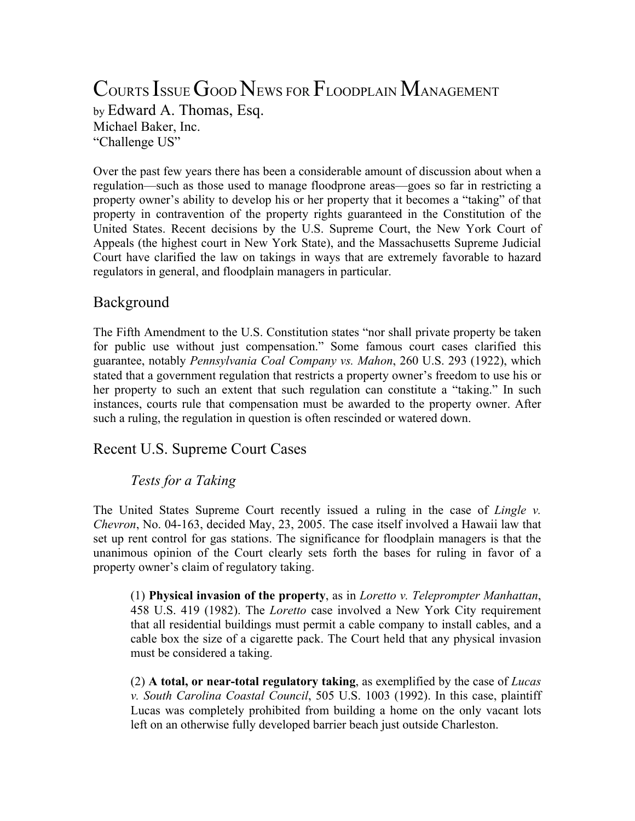# COURTS ISSUE GOOD NEWS FOR FLOODPLAIN MANAGEMENT

by Edward A. Thomas, Esq. Michael Baker, Inc. "Challenge US"

Over the past few years there has been a considerable amount of discussion about when a regulation—such as those used to manage floodprone areas—goes so far in restricting a property owner's ability to develop his or her property that it becomes a "taking" of that property in contravention of the property rights guaranteed in the Constitution of the United States. Recent decisions by the U.S. Supreme Court, the New York Court of Appeals (the highest court in New York State), and the Massachusetts Supreme Judicial Court have clarified the law on takings in ways that are extremely favorable to hazard regulators in general, and floodplain managers in particular.

# Background

The Fifth Amendment to the U.S. Constitution states "nor shall private property be taken for public use without just compensation." Some famous court cases clarified this guarantee, notably *Pennsylvania Coal Company vs. Mahon*, 260 U.S. 293 (1922), which stated that a government regulation that restricts a property owner's freedom to use his or her property to such an extent that such regulation can constitute a "taking." In such instances, courts rule that compensation must be awarded to the property owner. After such a ruling, the regulation in question is often rescinded or watered down.

# Recent U.S. Supreme Court Cases

# *Tests for a Taking*

The United States Supreme Court recently issued a ruling in the case of *Lingle v. Chevron*, No. 04-163, decided May, 23, 2005. The case itself involved a Hawaii law that set up rent control for gas stations. The significance for floodplain managers is that the unanimous opinion of the Court clearly sets forth the bases for ruling in favor of a property owner's claim of regulatory taking.

(1) **Physical invasion of the property**, as in *Loretto v. Teleprompter Manhattan*, 458 U.S. 419 (1982). The *Loretto* case involved a New York City requirement that all residential buildings must permit a cable company to install cables, and a cable box the size of a cigarette pack. The Court held that any physical invasion must be considered a taking.

(2) **A total, or near-total regulatory taking**, as exemplified by the case of *Lucas v. South Carolina Coastal Council*, 505 U.S. 1003 (1992). In this case, plaintiff Lucas was completely prohibited from building a home on the only vacant lots left on an otherwise fully developed barrier beach just outside Charleston.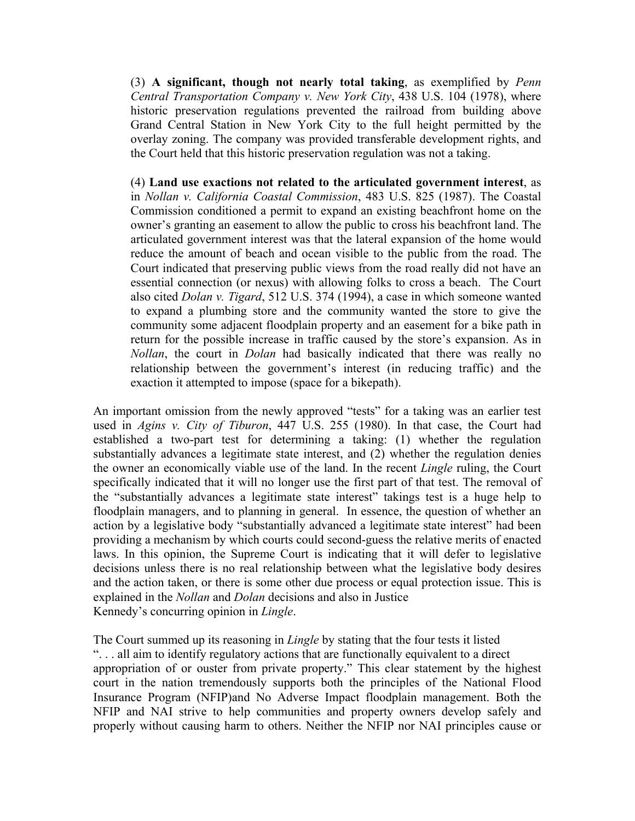(3) **A significant, though not nearly total taking**, as exemplified by *Penn Central Transportation Company v. New York City*, 438 U.S. 104 (1978), where historic preservation regulations prevented the railroad from building above Grand Central Station in New York City to the full height permitted by the overlay zoning. The company was provided transferable development rights, and the Court held that this historic preservation regulation was not a taking.

(4) **Land use exactions not related to the articulated government interest**, as in *Nollan v. California Coastal Commission*, 483 U.S. 825 (1987). The Coastal Commission conditioned a permit to expand an existing beachfront home on the owner's granting an easement to allow the public to cross his beachfront land. The articulated government interest was that the lateral expansion of the home would reduce the amount of beach and ocean visible to the public from the road. The Court indicated that preserving public views from the road really did not have an essential connection (or nexus) with allowing folks to cross a beach. The Court also cited *Dolan v. Tigard*, 512 U.S. 374 (1994), a case in which someone wanted to expand a plumbing store and the community wanted the store to give the community some adjacent floodplain property and an easement for a bike path in return for the possible increase in traffic caused by the store's expansion. As in *Nollan*, the court in *Dolan* had basically indicated that there was really no relationship between the government's interest (in reducing traffic) and the exaction it attempted to impose (space for a bikepath).

An important omission from the newly approved "tests" for a taking was an earlier test used in *Agins v. City of Tiburon*, 447 U.S. 255 (1980). In that case, the Court had established a two-part test for determining a taking: (1) whether the regulation substantially advances a legitimate state interest, and (2) whether the regulation denies the owner an economically viable use of the land. In the recent *Lingle* ruling, the Court specifically indicated that it will no longer use the first part of that test. The removal of the "substantially advances a legitimate state interest" takings test is a huge help to floodplain managers, and to planning in general. In essence, the question of whether an action by a legislative body "substantially advanced a legitimate state interest" had been providing a mechanism by which courts could second-guess the relative merits of enacted laws. In this opinion, the Supreme Court is indicating that it will defer to legislative decisions unless there is no real relationship between what the legislative body desires and the action taken, or there is some other due process or equal protection issue. This is explained in the *Nollan* and *Dolan* decisions and also in Justice Kennedy's concurring opinion in *Lingle*.

The Court summed up its reasoning in *Lingle* by stating that the four tests it listed ". . . all aim to identify regulatory actions that are functionally equivalent to a direct appropriation of or ouster from private property." This clear statement by the highest court in the nation tremendously supports both the principles of the National Flood Insurance Program (NFIP)and No Adverse Impact floodplain management. Both the NFIP and NAI strive to help communities and property owners develop safely and properly without causing harm to others. Neither the NFIP nor NAI principles cause or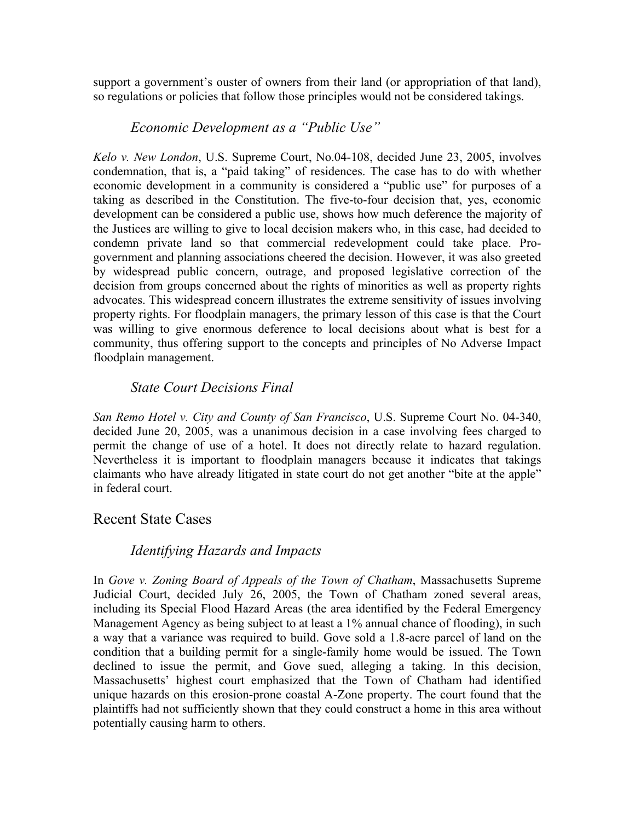support a government's ouster of owners from their land (or appropriation of that land), so regulations or policies that follow those principles would not be considered takings.

#### *Economic Development as a "Public Use"*

*Kelo v. New London*, U.S. Supreme Court, No.04-108, decided June 23, 2005, involves condemnation, that is, a "paid taking" of residences. The case has to do with whether economic development in a community is considered a "public use" for purposes of a taking as described in the Constitution. The five-to-four decision that, yes, economic development can be considered a public use, shows how much deference the majority of the Justices are willing to give to local decision makers who, in this case, had decided to condemn private land so that commercial redevelopment could take place. Progovernment and planning associations cheered the decision. However, it was also greeted by widespread public concern, outrage, and proposed legislative correction of the decision from groups concerned about the rights of minorities as well as property rights advocates. This widespread concern illustrates the extreme sensitivity of issues involving property rights. For floodplain managers, the primary lesson of this case is that the Court was willing to give enormous deference to local decisions about what is best for a community, thus offering support to the concepts and principles of No Adverse Impact floodplain management.

### *State Court Decisions Final*

*San Remo Hotel v. City and County of San Francisco*, U.S. Supreme Court No. 04-340, decided June 20, 2005, was a unanimous decision in a case involving fees charged to permit the change of use of a hotel. It does not directly relate to hazard regulation. Nevertheless it is important to floodplain managers because it indicates that takings claimants who have already litigated in state court do not get another "bite at the apple" in federal court.

#### Recent State Cases

#### *Identifying Hazards and Impacts*

In *Gove v. Zoning Board of Appeals of the Town of Chatham*, Massachusetts Supreme Judicial Court, decided July 26, 2005, the Town of Chatham zoned several areas, including its Special Flood Hazard Areas (the area identified by the Federal Emergency Management Agency as being subject to at least a 1% annual chance of flooding), in such a way that a variance was required to build. Gove sold a 1.8-acre parcel of land on the condition that a building permit for a single-family home would be issued. The Town declined to issue the permit, and Gove sued, alleging a taking. In this decision, Massachusetts' highest court emphasized that the Town of Chatham had identified unique hazards on this erosion-prone coastal A-Zone property. The court found that the plaintiffs had not sufficiently shown that they could construct a home in this area without potentially causing harm to others.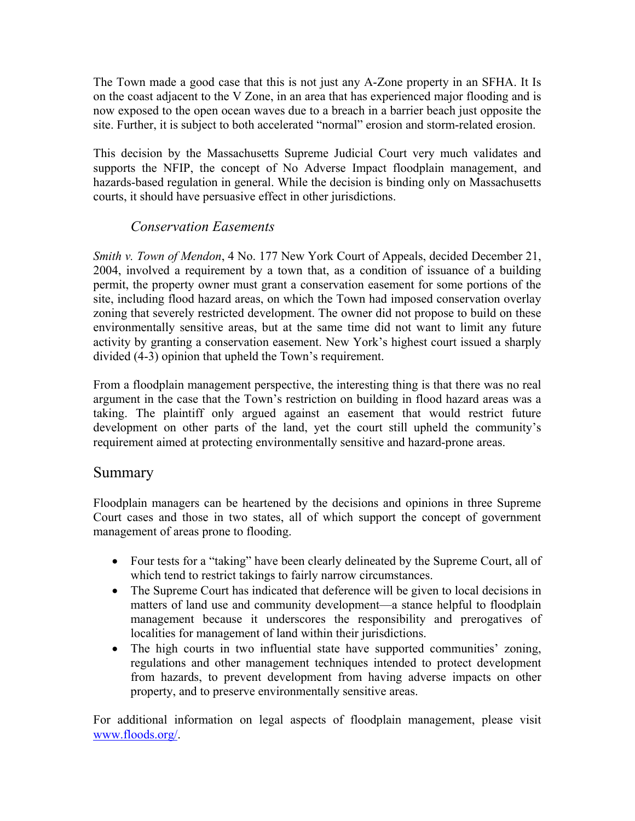The Town made a good case that this is not just any A-Zone property in an SFHA. It Is on the coast adjacent to the V Zone, in an area that has experienced major flooding and is now exposed to the open ocean waves due to a breach in a barrier beach just opposite the site. Further, it is subject to both accelerated "normal" erosion and storm-related erosion.

This decision by the Massachusetts Supreme Judicial Court very much validates and supports the NFIP, the concept of No Adverse Impact floodplain management, and hazards-based regulation in general. While the decision is binding only on Massachusetts courts, it should have persuasive effect in other jurisdictions.

#### *Conservation Easements*

*Smith v. Town of Mendon*, 4 No. 177 New York Court of Appeals, decided December 21, 2004, involved a requirement by a town that, as a condition of issuance of a building permit, the property owner must grant a conservation easement for some portions of the site, including flood hazard areas, on which the Town had imposed conservation overlay zoning that severely restricted development. The owner did not propose to build on these environmentally sensitive areas, but at the same time did not want to limit any future activity by granting a conservation easement. New York's highest court issued a sharply divided (4-3) opinion that upheld the Town's requirement.

From a floodplain management perspective, the interesting thing is that there was no real argument in the case that the Town's restriction on building in flood hazard areas was a taking. The plaintiff only argued against an easement that would restrict future development on other parts of the land, yet the court still upheld the community's requirement aimed at protecting environmentally sensitive and hazard-prone areas.

# Summary

Floodplain managers can be heartened by the decisions and opinions in three Supreme Court cases and those in two states, all of which support the concept of government management of areas prone to flooding.

- Four tests for a "taking" have been clearly delineated by the Supreme Court, all of which tend to restrict takings to fairly narrow circumstances.
- The Supreme Court has indicated that deference will be given to local decisions in matters of land use and community development—a stance helpful to floodplain management because it underscores the responsibility and prerogatives of localities for management of land within their jurisdictions.
- The high courts in two influential state have supported communities' zoning, regulations and other management techniques intended to protect development from hazards, to prevent development from having adverse impacts on other property, and to preserve environmentally sensitive areas.

For additional information on legal aspects of floodplain management, please visit [www.floods.org/](http://www.floods.org/).